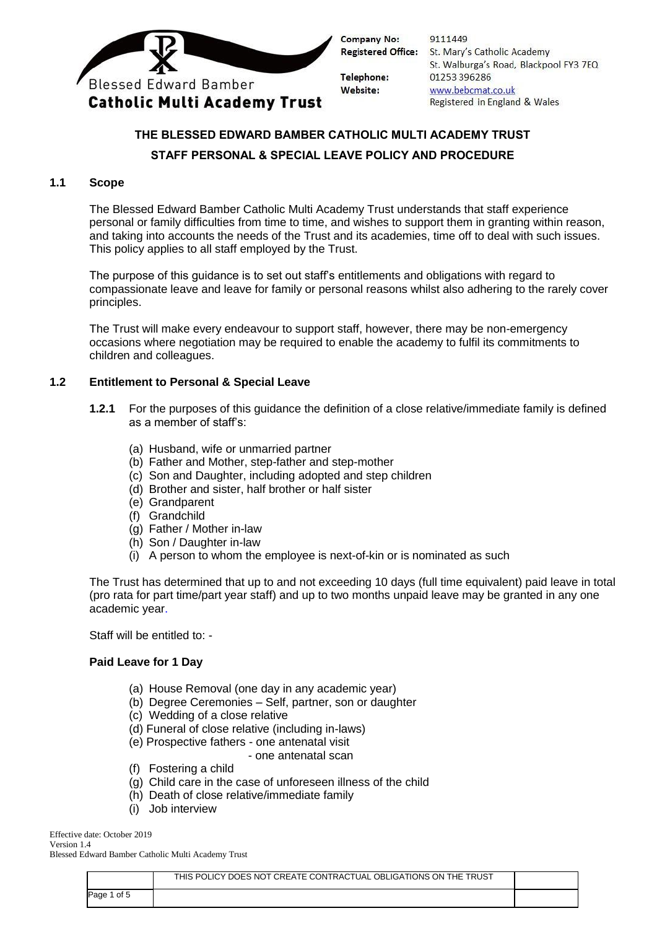

9111449 Registered Office: St. Mary's Catholic Academy St. Walburga's Road, Blackpool FY3 7EQ 01253 396286 www.bebcmat.co.uk Registered in England & Wales

# **THE BLESSED EDWARD BAMBER CATHOLIC MULTI ACADEMY TRUST STAFF PERSONAL & SPECIAL LEAVE POLICY AND PROCEDURE**

## **1.1 Scope**

The Blessed Edward Bamber Catholic Multi Academy Trust understands that staff experience personal or family difficulties from time to time, and wishes to support them in granting within reason, and taking into accounts the needs of the Trust and its academies, time off to deal with such issues. This policy applies to all staff employed by the Trust.

The purpose of this guidance is to set out staff's entitlements and obligations with regard to compassionate leave and leave for family or personal reasons whilst also adhering to the rarely cover principles.

The Trust will make every endeavour to support staff, however, there may be non-emergency occasions where negotiation may be required to enable the academy to fulfil its commitments to children and colleagues.

### **1.2 Entitlement to Personal & Special Leave**

- **1.2.1** For the purposes of this guidance the definition of a close relative/immediate family is defined as a member of staff's:
	- (a) Husband, wife or unmarried partner
	- (b) Father and Mother, step-father and step-mother
	- (c) Son and Daughter, including adopted and step children
	- (d) Brother and sister, half brother or half sister
	- (e) Grandparent
	- (f) Grandchild
	- (g) Father / Mother in-law
	- (h) Son / Daughter in-law
	- (i) A person to whom the employee is next-of-kin or is nominated as such

The Trust has determined that up to and not exceeding 10 days (full time equivalent) paid leave in total (pro rata for part time/part year staff) and up to two months unpaid leave may be granted in any one academic year.

Staff will be entitled to: -

### **Paid Leave for 1 Day**

- (a) House Removal (one day in any academic year)
- (b) Degree Ceremonies Self, partner, son or daughter
- (c) Wedding of a close relative
- (d) Funeral of close relative (including in-laws)
- (e) Prospective fathers one antenatal visit
	- one antenatal scan
- (f) Fostering a child
- (g) Child care in the case of unforeseen illness of the child
- (h) Death of close relative/immediate family
- (i) Job interview

Effective date: October 2019 Version 1.4

Blessed Edward Bamber Catholic Multi Academy Trust

|              | THIS POLICY DOES NOT CREATE CONTRACTUAL OBLIGATIONS ON THE TRUST |  |
|--------------|------------------------------------------------------------------|--|
| of 5<br>'age |                                                                  |  |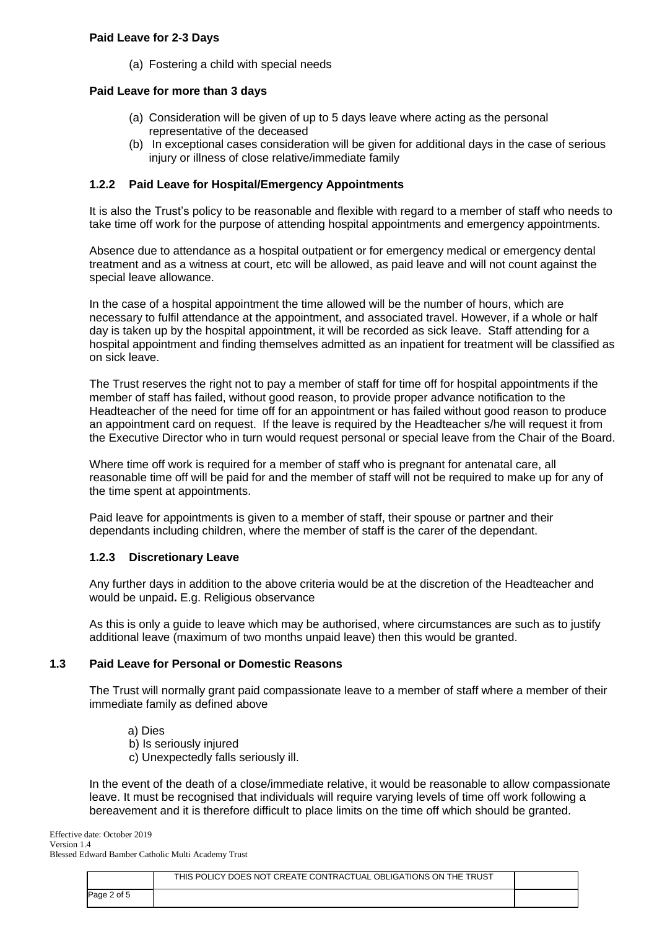(a) Fostering a child with special needs

## **Paid Leave for more than 3 days**

- (a) Consideration will be given of up to 5 days leave where acting as the personal representative of the deceased
- (b) In exceptional cases consideration will be given for additional days in the case of serious injury or illness of close relative/immediate family

## **1.2.2 Paid Leave for Hospital/Emergency Appointments**

It is also the Trust's policy to be reasonable and flexible with regard to a member of staff who needs to take time off work for the purpose of attending hospital appointments and emergency appointments.

Absence due to attendance as a hospital outpatient or for emergency medical or emergency dental treatment and as a witness at court, etc will be allowed, as paid leave and will not count against the special leave allowance.

In the case of a hospital appointment the time allowed will be the number of hours, which are necessary to fulfil attendance at the appointment, and associated travel. However, if a whole or half day is taken up by the hospital appointment, it will be recorded as sick leave. Staff attending for a hospital appointment and finding themselves admitted as an inpatient for treatment will be classified as on sick leave.

The Trust reserves the right not to pay a member of staff for time off for hospital appointments if the member of staff has failed, without good reason, to provide proper advance notification to the Headteacher of the need for time off for an appointment or has failed without good reason to produce an appointment card on request. If the leave is required by the Headteacher s/he will request it from the Executive Director who in turn would request personal or special leave from the Chair of the Board.

Where time off work is required for a member of staff who is pregnant for antenatal care, all reasonable time off will be paid for and the member of staff will not be required to make up for any of the time spent at appointments.

Paid leave for appointments is given to a member of staff, their spouse or partner and their dependants including children, where the member of staff is the carer of the dependant.

### **1.2.3 Discretionary Leave**

Any further days in addition to the above criteria would be at the discretion of the Headteacher and would be unpaid**.** E.g. Religious observance

As this is only a guide to leave which may be authorised, where circumstances are such as to justify additional leave (maximum of two months unpaid leave) then this would be granted.

### **1.3 Paid Leave for Personal or Domestic Reasons**

The Trust will normally grant paid compassionate leave to a member of staff where a member of their immediate family as defined above

- a) Dies
- b) Is seriously injured
- c) Unexpectedly falls seriously ill.

In the event of the death of a close/immediate relative, it would be reasonable to allow compassionate leave. It must be recognised that individuals will require varying levels of time off work following a bereavement and it is therefore difficult to place limits on the time off which should be granted.

Effective date: October 2019 Version 1.4 Blessed Edward Bamber Catholic Multi Academy Trust

|            | THIS POLICY DOES NOT CREATE CONTRACTUAL OBLIGATIONS ON THE TRUST |  |
|------------|------------------------------------------------------------------|--|
| age 2 of 5 |                                                                  |  |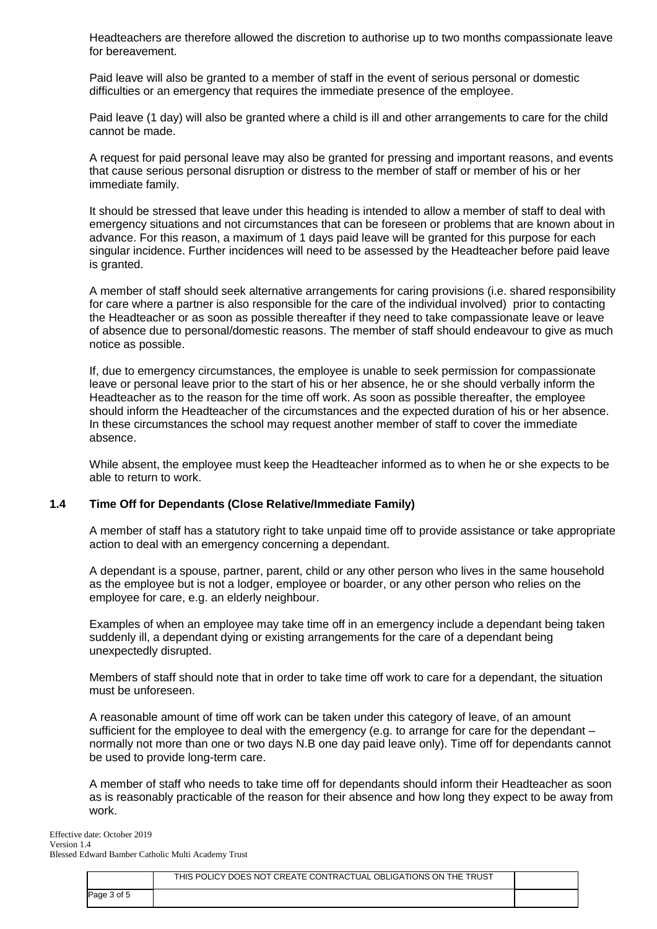Headteachers are therefore allowed the discretion to authorise up to two months compassionate leave for bereavement.

Paid leave will also be granted to a member of staff in the event of serious personal or domestic difficulties or an emergency that requires the immediate presence of the employee.

Paid leave (1 day) will also be granted where a child is ill and other arrangements to care for the child cannot be made.

A request for paid personal leave may also be granted for pressing and important reasons, and events that cause serious personal disruption or distress to the member of staff or member of his or her immediate family.

It should be stressed that leave under this heading is intended to allow a member of staff to deal with emergency situations and not circumstances that can be foreseen or problems that are known about in advance. For this reason, a maximum of 1 days paid leave will be granted for this purpose for each singular incidence. Further incidences will need to be assessed by the Headteacher before paid leave is granted.

A member of staff should seek alternative arrangements for caring provisions (i.e. shared responsibility for care where a partner is also responsible for the care of the individual involved) prior to contacting the Headteacher or as soon as possible thereafter if they need to take compassionate leave or leave of absence due to personal/domestic reasons. The member of staff should endeavour to give as much notice as possible.

If, due to emergency circumstances, the employee is unable to seek permission for compassionate leave or personal leave prior to the start of his or her absence, he or she should verbally inform the Headteacher as to the reason for the time off work. As soon as possible thereafter, the employee should inform the Headteacher of the circumstances and the expected duration of his or her absence. In these circumstances the school may request another member of staff to cover the immediate absence.

While absent, the employee must keep the Headteacher informed as to when he or she expects to be able to return to work.

### **1.4 Time Off for Dependants (Close Relative/Immediate Family)**

A member of staff has a statutory right to take unpaid time off to provide assistance or take appropriate action to deal with an emergency concerning a dependant.

A dependant is a spouse, partner, parent, child or any other person who lives in the same household as the employee but is not a lodger, employee or boarder, or any other person who relies on the employee for care, e.g. an elderly neighbour.

Examples of when an employee may take time off in an emergency include a dependant being taken suddenly ill, a dependant dying or existing arrangements for the care of a dependant being unexpectedly disrupted.

Members of staff should note that in order to take time off work to care for a dependant, the situation must be unforeseen.

A reasonable amount of time off work can be taken under this category of leave, of an amount sufficient for the employee to deal with the emergency (e.g. to arrange for care for the dependant – normally not more than one or two days N.B one day paid leave only). Time off for dependants cannot be used to provide long-term care.

A member of staff who needs to take time off for dependants should inform their Headteacher as soon as is reasonably practicable of the reason for their absence and how long they expect to be away from work.

|             | THIS POLICY DOES NOT CREATE CONTRACTUAL OBLIGATIONS ON THE TRUST |  |
|-------------|------------------------------------------------------------------|--|
| Page 3 of 5 |                                                                  |  |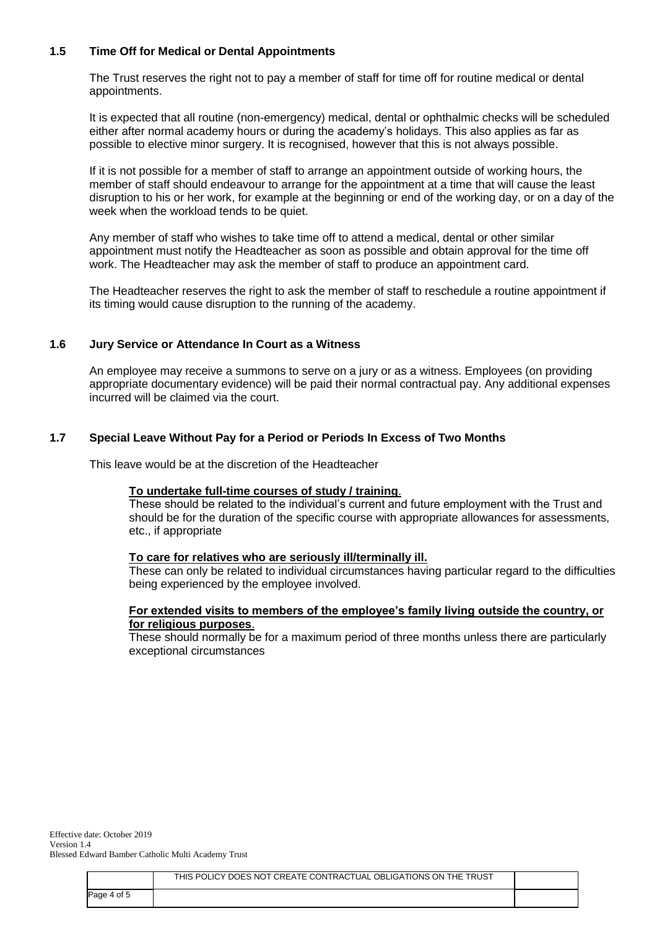## **1.5 Time Off for Medical or Dental Appointments**

The Trust reserves the right not to pay a member of staff for time off for routine medical or dental appointments.

It is expected that all routine (non-emergency) medical, dental or ophthalmic checks will be scheduled either after normal academy hours or during the academy's holidays. This also applies as far as possible to elective minor surgery. It is recognised, however that this is not always possible.

If it is not possible for a member of staff to arrange an appointment outside of working hours, the member of staff should endeavour to arrange for the appointment at a time that will cause the least disruption to his or her work, for example at the beginning or end of the working day, or on a day of the week when the workload tends to be quiet.

Any member of staff who wishes to take time off to attend a medical, dental or other similar appointment must notify the Headteacher as soon as possible and obtain approval for the time off work. The Headteacher may ask the member of staff to produce an appointment card.

The Headteacher reserves the right to ask the member of staff to reschedule a routine appointment if its timing would cause disruption to the running of the academy.

### **1.6 Jury Service or Attendance In Court as a Witness**

An employee may receive a summons to serve on a jury or as a witness. Employees (on providing appropriate documentary evidence) will be paid their normal contractual pay. Any additional expenses incurred will be claimed via the court.

#### **1.7 Special Leave Without Pay for a Period or Periods In Excess of Two Months**

This leave would be at the discretion of the Headteacher

#### **To undertake full-time courses of study / training**.

These should be related to the individual's current and future employment with the Trust and should be for the duration of the specific course with appropriate allowances for assessments, etc., if appropriate

#### **To care for relatives who are seriously ill/terminally ill.**

These can only be related to individual circumstances having particular regard to the difficulties being experienced by the employee involved.

#### **For extended visits to members of the employee's family living outside the country, or for religious purposes**.

These should normally be for a maximum period of three months unless there are particularly exceptional circumstances

Effective date: October 2019 Version 1.4 Blessed Edward Bamber Catholic Multi Academy Trust

|             | THIS POLICY DOES NOT CREATE CONTRACTUAL OBLIGATIONS ON THE TRUST |  |
|-------------|------------------------------------------------------------------|--|
| Page 4 of 5 |                                                                  |  |